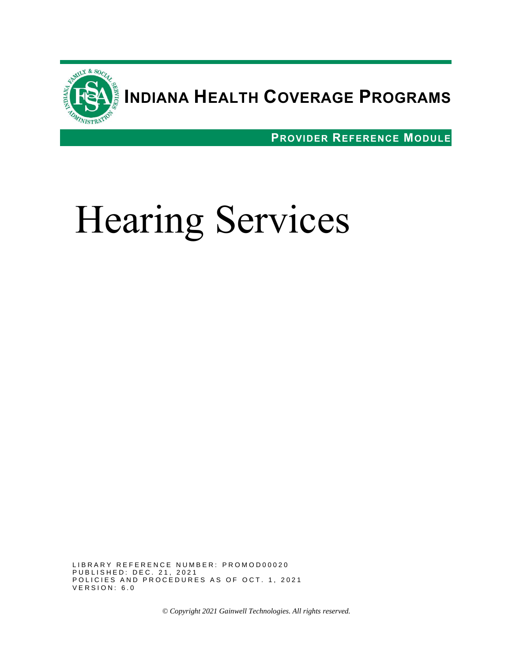

# **INDIANA HEALTH COVERAGE PROGRAMS**

**PROVIDER REFERENCE MODULE**

# Hearing Services

LIBRARY REFERENCE NUMBER: PROMOD00020 PUBLISHED: DEC. 21, 2021 POLICIES AND PROCEDURES AS OF OCT. 1, 2021  $VER$  SION:  $6.0$ 

*© Copyright 2021 Gainwell Technologies. All rights reserved.*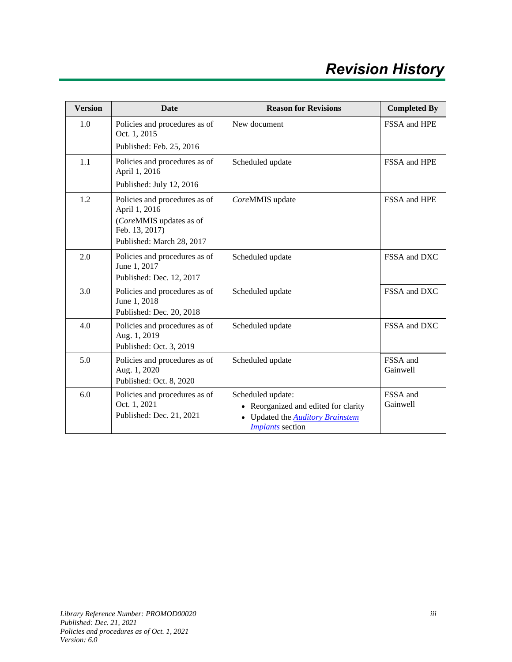# *Revision History*

| <b>Version</b> | <b>Date</b>                                                                                                              | <b>Reason for Revisions</b>                                                                                                   | <b>Completed By</b>  |
|----------------|--------------------------------------------------------------------------------------------------------------------------|-------------------------------------------------------------------------------------------------------------------------------|----------------------|
| 1.0            | Policies and procedures as of<br>Oct. 1, 2015                                                                            | New document                                                                                                                  | FSSA and HPE         |
|                | Published: Feb. 25, 2016                                                                                                 |                                                                                                                               |                      |
| 1.1            | Policies and procedures as of<br>April 1, 2016                                                                           | Scheduled update                                                                                                              | FSSA and HPE         |
|                | Published: July 12, 2016                                                                                                 |                                                                                                                               |                      |
| 1.2            | Policies and procedures as of<br>April 1, 2016<br>(CoreMMIS updates as of<br>Feb. 13, 2017)<br>Published: March 28, 2017 | CoreMMIS update                                                                                                               | FSSA and HPE         |
| 2.0            | Policies and procedures as of<br>June 1, 2017<br>Published: Dec. 12, 2017                                                | Scheduled update                                                                                                              | FSSA and DXC         |
| 3.0            | Policies and procedures as of<br>June 1, 2018<br>Published: Dec. 20, 2018                                                | Scheduled update                                                                                                              | FSSA and DXC         |
| 4.0            | Policies and procedures as of<br>Aug. 1, 2019<br>Published: Oct. 3, 2019                                                 | Scheduled update                                                                                                              | FSSA and DXC         |
| 5.0            | Policies and procedures as of<br>Aug. 1, 2020<br>Published: Oct. 8, 2020                                                 | Scheduled update                                                                                                              | FSSA and<br>Gainwell |
| 6.0            | Policies and procedures as of<br>Oct. 1, 2021<br>Published: Dec. 21, 2021                                                | Scheduled update:<br>• Reorganized and edited for clarity<br>Updated the <b>Auditory Brainstem</b><br><b>Implants</b> section | FSSA and<br>Gainwell |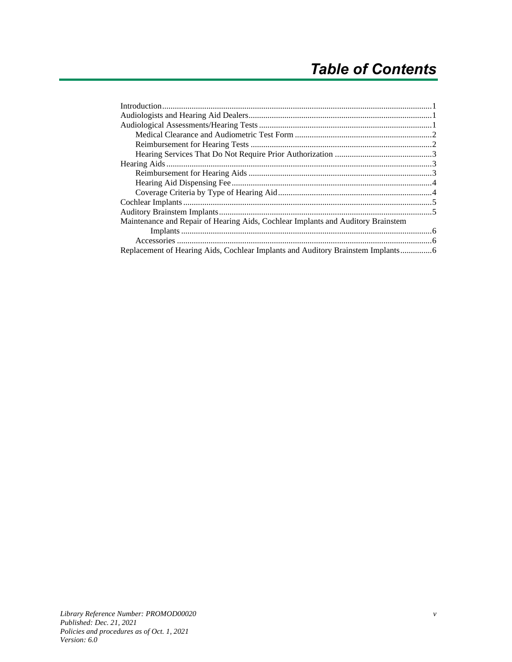| Maintenance and Repair of Hearing Aids, Cochlear Implants and Auditory Brainstem |  |  |
|----------------------------------------------------------------------------------|--|--|
|                                                                                  |  |  |
|                                                                                  |  |  |
| Replacement of Hearing Aids, Cochlear Implants and Auditory Brainstem Implants   |  |  |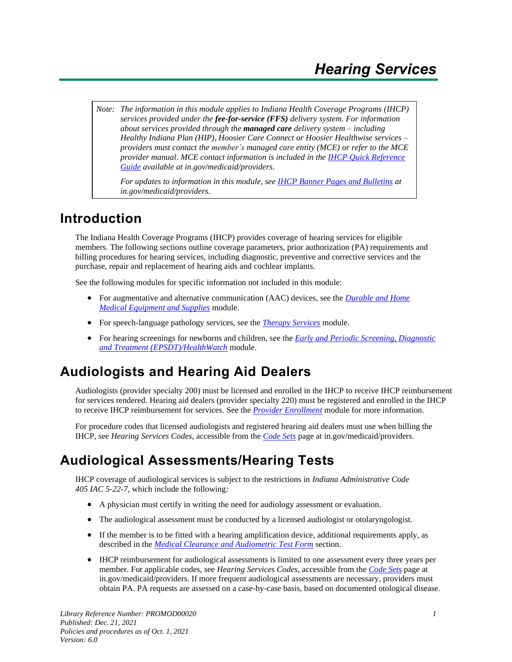*Note: The information in this module applies to Indiana Health Coverage Programs (IHCP) services provided under the fee-for-service (FFS) delivery system. For information about services provided through the managed care delivery system – including Healthy Indiana Plan (HIP), Hoosier Care Connect or Hoosier Healthwise services – providers must contact the member's managed care entity (MCE) or refer to the MCE provider manual. MCE contact information is included in the [IHCP Quick Reference](https://www.in.gov/medicaid/providers/files/quick-reference.pdf)  [Guide](https://www.in.gov/medicaid/providers/files/quick-reference.pdf) available at in.gov/medicaid/providers*.

*For updates to information in this module, see IHCP [Banner Pages and Bulletins](https://www.in.gov/medicaid/providers/provider-references/news-bulletins-and-banner-pages/) at in.gov/medicaid/providers.*

## <span id="page-6-0"></span>**Introduction**

The Indiana Health Coverage Programs (IHCP) provides coverage of hearing services for eligible members. The following sections outline coverage parameters, prior authorization (PA) requirements and billing procedures for hearing services, including diagnostic, preventive and corrective services and the purchase, repair and replacement of hearing aids and cochlear implants.

See the following modules for specific information not included in this module:

- For augmentative and alternative communication (AAC) devices, see the *[Durable and Home](https://www.in.gov/medicaid/providers/files/durable-and-home-medical-equipment-and-supplies.pdf)  [Medical Equipment and Supplies](https://www.in.gov/medicaid/providers/files/durable-and-home-medical-equipment-and-supplies.pdf)* module.
- For speech-language pathology services, see the *[Therapy Services](https://www.in.gov/medicaid/providers/files/therapy-services.pdf)* module.
- For hearing screenings for newborns and children, see the *[Early and Periodic Screening, Diagnostic](https://www.in.gov/medicaid/providers/files/epsdt.pdf) and Treatment [\(EPSDT\)/HealthWatch](https://www.in.gov/medicaid/providers/files/epsdt.pdf)* module.

# <span id="page-6-1"></span>**Audiologists and Hearing Aid Dealers**

Audiologists (provider specialty 200) must be licensed and enrolled in the IHCP to receive IHCP reimbursement for services rendered. Hearing aid dealers (provider specialty 220) must be registered and enrolled in the IHCP to receive IHCP reimbursement for services. See the *[Provider Enrollment](https://www.in.gov/medicaid/providers/files/provider-enrollment.pdf)* module for more information.

For procedure codes that licensed audiologists and registered hearing aid dealers must use when billing the IHCP, see *Hearing Services Codes*, accessible from the *[Code Sets](https://www.in.gov/medicaid/providers/business-transactions/billing-and-remittance/code-sets/)* page at in.gov/medicaid/providers.

# <span id="page-6-2"></span>**Audiological Assessments/Hearing Tests**

IHCP coverage of audiological services is subject to the restrictions in *Indiana Administrative Code 405 IAC 5-22-7*, which include the following*:*

- A physician must certify in writing the need for audiology assessment or evaluation.
- The audiological assessment must be conducted by a licensed audiologist or otolaryngologist.
- If the member is to be fitted with a hearing amplification device, additional requirements apply, as described in the *[Medical Clearance and Audiometric Test Form](#page-7-0)* section.
- IHCP reimbursement for audiological assessments is limited to one assessment every three years per member. For applicable codes, see *Hearing Services Codes*, accessible from the *[Code Sets](https://www.in.gov/medicaid/providers/business-transactions/billing-and-remittance/code-sets/)* page at in.gov/medicaid/providers. If more frequent audiological assessments are necessary, providers must obtain PA. PA requests are assessed on a case-by-case basis, based on documented otological disease.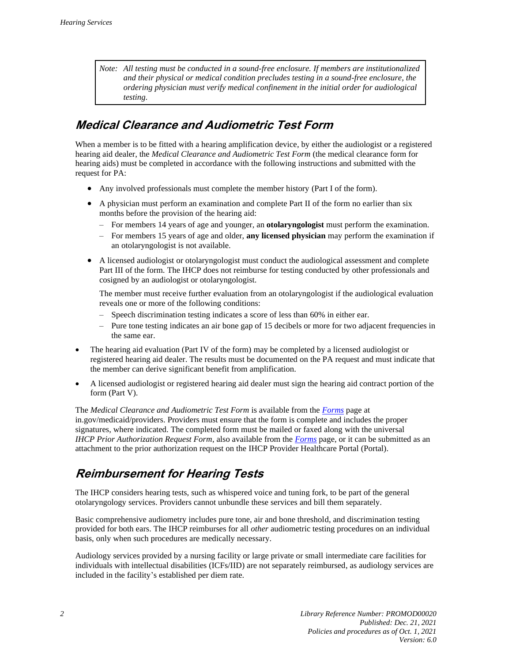*Note: All testing must be conducted in a sound-free enclosure. If members are institutionalized and their physical or medical condition precludes testing in a sound-free enclosure, the ordering physician must verify medical confinement in the initial order for audiological testing.*

#### <span id="page-7-0"></span>**Medical Clearance and Audiometric Test Form**

When a member is to be fitted with a hearing amplification device, by either the audiologist or a registered hearing aid dealer, the *Medical Clearance and Audiometric Test Form* (the medical clearance form for hearing aids) must be completed in accordance with the following instructions and submitted with the request for PA:

- Any involved professionals must complete the member history (Part I of the form).
- A physician must perform an examination and complete Part II of the form no earlier than six months before the provision of the hearing aid:
	- For members 14 years of age and younger, an **otolaryngologist** must perform the examination.
	- For members 15 years of age and older, **any licensed physician** may perform the examination if an otolaryngologist is not available.
- A licensed audiologist or otolaryngologist must conduct the audiological assessment and complete Part III of the form*.* The IHCP does not reimburse for testing conducted by other professionals and cosigned by an audiologist or otolaryngologist.

The member must receive further evaluation from an otolaryngologist if the audiological evaluation reveals one or more of the following conditions:

- Speech discrimination testing indicates a score of less than 60% in either ear.
- Pure tone testing indicates an air bone gap of 15 decibels or more for two adjacent frequencies in the same ear.
- The hearing aid evaluation (Part IV of the form) may be completed by a licensed audiologist or registered hearing aid dealer. The results must be documented on the PA request and must indicate that the member can derive significant benefit from amplification.
- A licensed audiologist or registered hearing aid dealer must sign the hearing aid contract portion of the form (Part V).

The *Medical Clearance and Audiometric Test Form* is available from the *[Forms](https://www.in.gov/medicaid/providers/provider-references/forms/)* page at in.gov/medicaid/providers. Providers must ensure that the form is complete and includes the proper signatures, where indicated. The completed form must be mailed or faxed along with the universal *IHCP Prior Authorization Request Form*, also available from the *[Forms](https://www.in.gov/medicaid/providers/provider-references/forms/)* page, or it can be submitted as an attachment to the prior authorization request on the IHCP Provider Healthcare Portal (Portal).

#### <span id="page-7-1"></span>**Reimbursement for Hearing Tests**

The IHCP considers hearing tests, such as whispered voice and tuning fork, to be part of the general otolaryngology services. Providers cannot unbundle these services and bill them separately.

Basic comprehensive audiometry includes pure tone, air and bone threshold, and discrimination testing provided for both ears. The IHCP reimburses for all *other* audiometric testing procedures on an individual basis, only when such procedures are medically necessary.

Audiology services provided by a nursing facility or large private or small intermediate care facilities for individuals with intellectual disabilities (ICFs/IID) are not separately reimbursed, as audiology services are included in the facility's established per diem rate.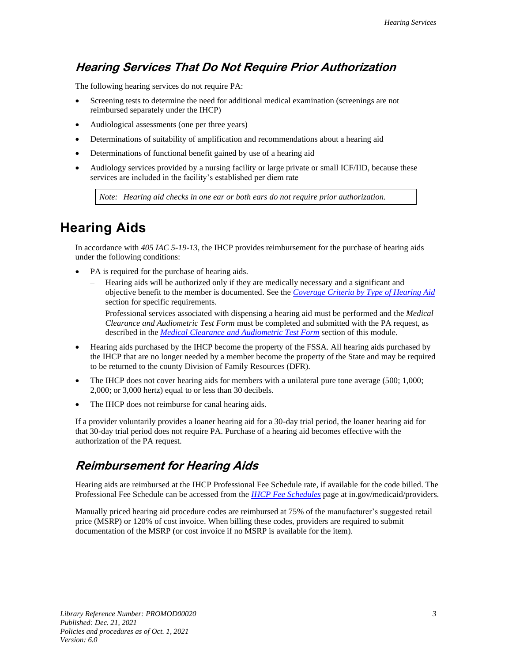#### <span id="page-8-0"></span>**Hearing Services That Do Not Require Prior Authorization**

The following hearing services do not require PA:

- Screening tests to determine the need for additional medical examination (screenings are not reimbursed separately under the IHCP)
- Audiological assessments (one per three years)
- Determinations of suitability of amplification and recommendations about a hearing aid
- Determinations of functional benefit gained by use of a hearing aid
- Audiology services provided by a nursing facility or large private or small ICF/IID, because these services are included in the facility's established per diem rate

*Note: Hearing aid checks in one ear or both ears do not require prior authorization.*

#### <span id="page-8-1"></span>**Hearing Aids**

In accordance with *405 IAC 5-19-13*, the IHCP provides reimbursement for the purchase of hearing aids under the following conditions:

- PA is required for the purchase of hearing aids.
	- Hearing aids will be authorized only if they are medically necessary and a significant and objective benefit to the member is documented. See the *[Coverage Criteria by Type of Hearing Aid](#page-9-1)* section for specific requirements.
	- Professional services associated with dispensing a hearing aid must be performed and the *Medical Clearance and Audiometric Test Form* must be completed and submitted with the PA request, as described in the *Medical [Clearance and Audiometric Test Form](#page-7-0)* section of this module.
- Hearing aids purchased by the IHCP become the property of the FSSA. All hearing aids purchased by the IHCP that are no longer needed by a member become the property of the State and may be required to be returned to the county Division of Family Resources (DFR).
- The IHCP does not cover hearing aids for members with a unilateral pure tone average (500; 1,000; 2,000; or 3,000 hertz) equal to or less than 30 decibels.
- The IHCP does not reimburse for canal hearing aids.

If a provider voluntarily provides a loaner hearing aid for a 30-day trial period, the loaner hearing aid for that 30-day trial period does not require PA. Purchase of a hearing aid becomes effective with the authorization of the PA request.

#### <span id="page-8-2"></span>**Reimbursement for Hearing Aids**

Hearing aids are reimbursed at the IHCP Professional Fee Schedule rate, if available for the code billed. The Professional Fee Schedule can be accessed from the *[IHCP Fee Schedules](https://www.in.gov/medicaid/providers/business-transactions/billing-and-remittance/ihcp-fee-schedules/)* page at in.gov/medicaid/providers.

Manually priced hearing aid procedure codes are reimbursed at 75% of the manufacturer's suggested retail price (MSRP) or 120% of cost invoice. When billing these codes, providers are required to submit documentation of the MSRP (or cost invoice if no MSRP is available for the item).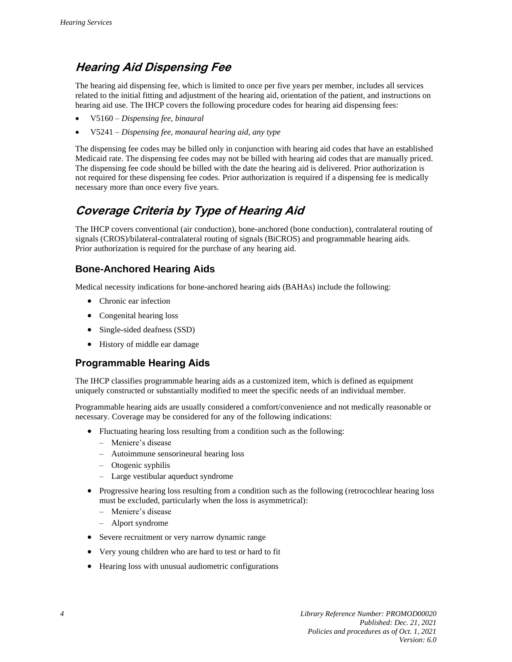#### <span id="page-9-0"></span>**Hearing Aid Dispensing Fee**

The hearing aid dispensing fee, which is limited to once per five years per member, includes all services related to the initial fitting and adjustment of the hearing aid, orientation of the patient, and instructions on hearing aid use. The IHCP covers the following procedure codes for hearing aid dispensing fees:

- V5160 *Dispensing fee, binaural*
- V5241 *Dispensing fee, monaural hearing aid, any type*

The dispensing fee codes may be billed only in conjunction with hearing aid codes that have an established Medicaid rate. The dispensing fee codes may not be billed with hearing aid codes that are manually priced. The dispensing fee code should be billed with the date the hearing aid is delivered. Prior authorization is not required for these dispensing fee codes. Prior authorization is required if a dispensing fee is medically necessary more than once every five years.

#### <span id="page-9-1"></span>**Coverage Criteria by Type of Hearing Aid**

The IHCP covers conventional (air conduction), bone-anchored (bone conduction), contralateral routing of signals (CROS)/bilateral-contralateral routing of signals (BiCROS) and programmable hearing aids. Prior authorization is required for the purchase of any hearing aid.

#### **Bone-Anchored Hearing Aids**

Medical necessity indications for bone-anchored hearing aids (BAHAs) include the following:

- Chronic ear infection
- Congenital hearing loss
- Single-sided deafness (SSD)
- History of middle ear damage

#### **Programmable Hearing Aids**

The IHCP classifies programmable hearing aids as a customized item, which is defined as equipment uniquely constructed or substantially modified to meet the specific needs of an individual member.

Programmable hearing aids are usually considered a comfort/convenience and not medically reasonable or necessary. Coverage may be considered for any of the following indications:

- Fluctuating hearing loss resulting from a condition such as the following:
	- Meniere's disease
	- Autoimmune sensorineural hearing loss
	- Otogenic syphilis
	- Large vestibular aqueduct syndrome
- Progressive hearing loss resulting from a condition such as the following (retrocochlear hearing loss must be excluded, particularly when the loss is asymmetrical):
	- Meniere's disease
	- Alport syndrome
- Severe recruitment or very narrow dynamic range
- Very young children who are hard to test or hard to fit
- Hearing loss with unusual audiometric configurations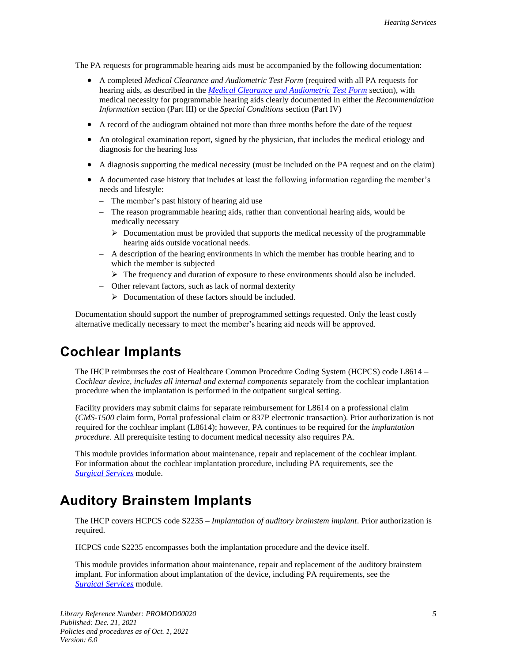The PA requests for programmable hearing aids must be accompanied by the following documentation:

- A completed *Medical Clearance and Audiometric Test Form* (required with all PA requests for hearing aids, as described in the *[Medical Clearance and Audiometric Test Form](#page-7-0)* section), with medical necessity for programmable hearing aids clearly documented in either the *Recommendation Information* section (Part III) or the *Special Conditions* section (Part IV)
- A record of the audiogram obtained not more than three months before the date of the request
- An otological examination report, signed by the physician, that includes the medical etiology and diagnosis for the hearing loss
- A diagnosis supporting the medical necessity (must be included on the PA request and on the claim)
- A documented case history that includes at least the following information regarding the member's needs and lifestyle:
	- The member's past history of hearing aid use
	- The reason programmable hearing aids, rather than conventional hearing aids, would be medically necessary
		- $\triangleright$  Documentation must be provided that supports the medical necessity of the programmable hearing aids outside vocational needs.
	- A description of the hearing environments in which the member has trouble hearing and to which the member is subjected
	- ➢ The frequency and duration of exposure to these environments should also be included.
	- Other relevant factors, such as lack of normal dexterity
		- ➢ Documentation of these factors should be included.

Documentation should support the number of preprogrammed settings requested. Only the least costly alternative medically necessary to meet the member's hearing aid needs will be approved.

#### <span id="page-10-1"></span>**Cochlear Implants**

The IHCP reimburses the cost of Healthcare Common Procedure Coding System (HCPCS) code L8614 – *Cochlear device, includes all internal and external components* separately from the cochlear implantation procedure when the implantation is performed in the outpatient surgical setting.

Facility providers may submit claims for separate reimbursement for L8614 on a professional claim (*CMS-1500* claim form, Portal professional claim or 837P electronic transaction). Prior authorization is not required for the cochlear implant (L8614); however, PA continues to be required for the *implantation procedure*. All prerequisite testing to document medical necessity also requires PA.

This module provides information about maintenance, repair and replacement of the cochlear implant. For information about the cochlear implantation procedure, including PA requirements, see the *[Surgical](https://www.in.gov/medicaid/providers/files/surgical-services.pdf) Services* module.

#### <span id="page-10-0"></span>**Auditory Brainstem Implants**

The IHCP covers HCPCS code S2235 – *Implantation of auditory brainstem implant*. Prior authorization is required.

HCPCS code S2235 encompasses both the implantation procedure and the device itself.

This module provides information about maintenance, repair and replacement of the auditory brainstem implant. For information about implantation of the device, including PA requirements, see the *[Surgical](https://www.in.gov/medicaid/files/surgical%20services.pdf) Services* module.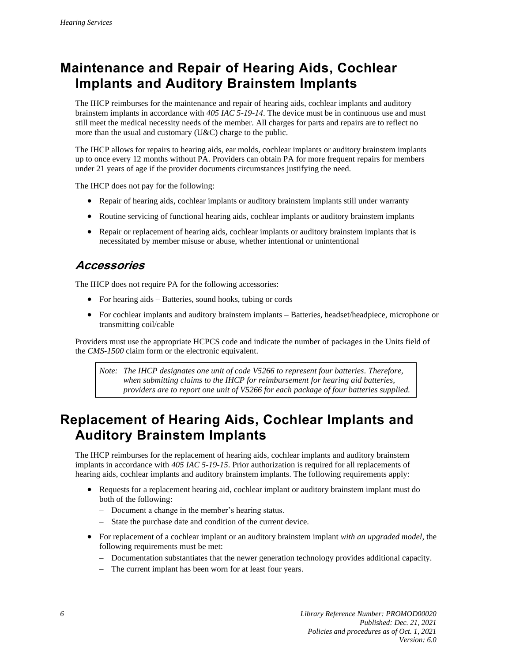# <span id="page-11-0"></span>**Maintenance and Repair of Hearing Aids, Cochlear Implants and Auditory Brainstem Implants**

The IHCP reimburses for the maintenance and repair of hearing aids, cochlear implants and auditory brainstem implants in accordance with *405 IAC 5-19-14*. The device must be in continuous use and must still meet the medical necessity needs of the member. All charges for parts and repairs are to reflect no more than the usual and customary (U&C) charge to the public.

The IHCP allows for repairs to hearing aids, ear molds, cochlear implants or auditory brainstem implants up to once every 12 months without PA. Providers can obtain PA for more frequent repairs for members under 21 years of age if the provider documents circumstances justifying the need.

The IHCP does not pay for the following:

- Repair of hearing aids, cochlear implants or auditory brainstem implants still under warranty
- Routine servicing of functional hearing aids, cochlear implants or auditory brainstem implants
- Repair or replacement of hearing aids, cochlear implants or auditory brainstem implants that is necessitated by member misuse or abuse, whether intentional or unintentional

#### <span id="page-11-1"></span>**Accessories**

The IHCP does not require PA for the following accessories:

- For hearing aids Batteries, sound hooks, tubing or cords
- For cochlear implants and auditory brainstem implants Batteries, headset/headpiece, microphone or transmitting coil/cable

Providers must use the appropriate HCPCS code and indicate the number of packages in the Units field of the *CMS-1500* claim form or the electronic equivalent.

*Note: The IHCP designates one unit of code V5266 to represent four batteries. Therefore, when submitting claims to the IHCP for reimbursement for hearing aid batteries, providers are to report one unit of V5266 for each package of four batteries supplied.*

## <span id="page-11-2"></span>**Replacement of Hearing Aids, Cochlear Implants and Auditory Brainstem Implants**

The IHCP reimburses for the replacement of hearing aids, cochlear implants and auditory brainstem implants in accordance with *405 IAC 5-19-15*. Prior authorization is required for all replacements of hearing aids, cochlear implants and auditory brainstem implants. The following requirements apply:

- Requests for a replacement hearing aid, cochlear implant or auditory brainstem implant must do both of the following:
	- Document a change in the member's hearing status.
	- State the purchase date and condition of the current device.
- For replacement of a cochlear implant or an auditory brainstem implant *with an upgraded model*, the following requirements must be met:
	- Documentation substantiates that the newer generation technology provides additional capacity.
	- The current implant has been worn for at least four years.